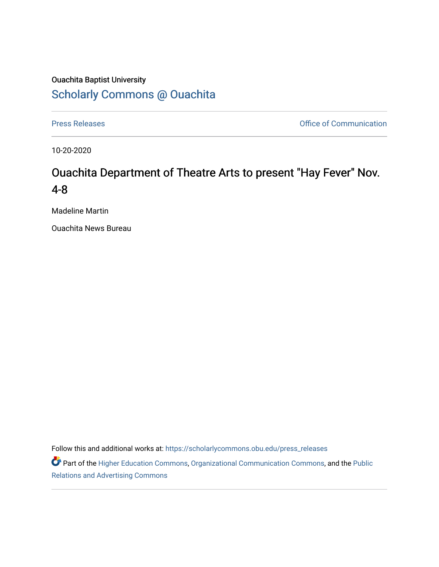# Ouachita Baptist University [Scholarly Commons @ Ouachita](https://scholarlycommons.obu.edu/)

[Press Releases](https://scholarlycommons.obu.edu/press_releases) **Press Releases Communication** 

10-20-2020

# Ouachita Department of Theatre Arts to present "Hay Fever" Nov. 4-8

Madeline Martin

Ouachita News Bureau

Follow this and additional works at: [https://scholarlycommons.obu.edu/press\\_releases](https://scholarlycommons.obu.edu/press_releases?utm_source=scholarlycommons.obu.edu%2Fpress_releases%2F746&utm_medium=PDF&utm_campaign=PDFCoverPages)

Part of the [Higher Education Commons,](http://network.bepress.com/hgg/discipline/1245?utm_source=scholarlycommons.obu.edu%2Fpress_releases%2F746&utm_medium=PDF&utm_campaign=PDFCoverPages) [Organizational Communication Commons,](http://network.bepress.com/hgg/discipline/335?utm_source=scholarlycommons.obu.edu%2Fpress_releases%2F746&utm_medium=PDF&utm_campaign=PDFCoverPages) and the [Public](http://network.bepress.com/hgg/discipline/336?utm_source=scholarlycommons.obu.edu%2Fpress_releases%2F746&utm_medium=PDF&utm_campaign=PDFCoverPages) [Relations and Advertising Commons](http://network.bepress.com/hgg/discipline/336?utm_source=scholarlycommons.obu.edu%2Fpress_releases%2F746&utm_medium=PDF&utm_campaign=PDFCoverPages)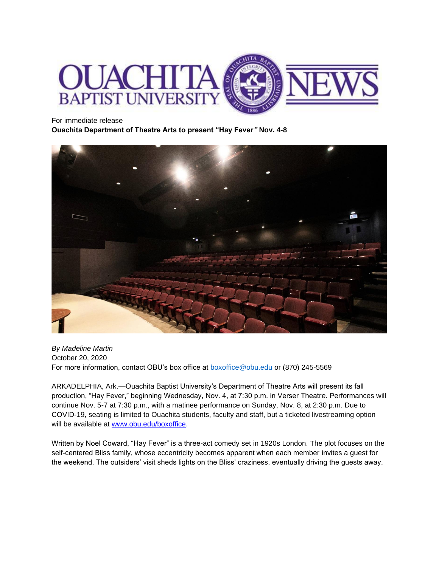

#### For immediate release

**Ouachita Department of Theatre Arts to present "Hay Fever***"* **Nov. 4-8**



*By Madeline Martin* October 20, 2020 For more information, contact OBU's box office at [boxoffice@obu.edu](mailto:boxoffice@obu.edu) or (870) 245-5569

ARKADELPHIA, Ark.—Ouachita Baptist University's Department of Theatre Arts will present its fall production, "Hay Fever," beginning Wednesday, Nov. 4, at 7:30 p.m. in Verser Theatre. Performances will continue Nov. 5-7 at 7:30 p.m., with a matinee performance on Sunday, Nov. 8, at 2:30 p.m. Due to COVID-19, seating is limited to Ouachita students, faculty and staff, but a ticketed livestreaming option will be available at [www.obu.edu/boxoffice.](http://www.obu.edu/boxoffice)

Written by Noel Coward, "Hay Fever" is a three-act comedy set in 1920s London. The plot focuses on the self-centered Bliss family, whose eccentricity becomes apparent when each member invites a guest for the weekend. The outsiders' visit sheds lights on the Bliss' craziness, eventually driving the guests away.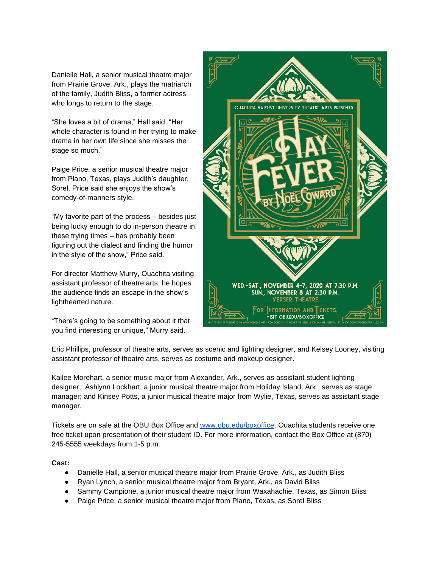Danielle Hall, a senior musical theatre major from Prairie Grove, Ark., plays the matriarch of the family, Judith Bliss, a former actress who longs to return to the stage.

"She loves a bit of drama," Hall said. "Her whole character is found in her trying to make drama in her own life since she misses the stage so much."

Paige Price, a senior musical theatre major from Plano, Texas, plays Judith's daughter, Sorel. Price said she enjoys the show's comedy-of-manners style.

"My favorite part of the process – besides just being lucky enough to do in-person theatre in these trying times – has probably been figuring out the dialect and finding the humor in the style of the show," Price said.

For director Matthew Murry, Ouachita visiting assistant professor of theatre arts, he hopes the audience finds an escape in the show's lighthearted nature.

"There's going to be something about it that you find interesting or unique," Murry said.



Eric Phillips, professor of theatre arts, serves as scenic and lighting designer, and Kelsey Looney, visiting assistant professor of theatre arts, serves as costume and makeup designer.

Kailee Morehart, a senior music major from Alexander, Ark., serves as assistant student lighting designer; Ashlynn Lockhart, a junior musical theatre major from Holiday Island, Ark., serves as stage manager; and Kinsey Potts, a junior musical theatre major from Wylie, Texas, serves as assistant stage manager.

Tickets are on sale at the OBU Box Office and [www.obu.edu/boxoffice.](http://www.obu.edu/boxoffice) Ouachita students receive one free ticket upon presentation of their student ID. For more information, contact the Box Office at (870) 245-5555 weekdays from 1-5 p.m.

# **Cast:**

- Danielle Hall, a senior musical theatre major from Prairie Grove, Ark., as Judith Bliss
- Ryan Lynch, a senior musical theatre major from Bryant, Ark., as David Bliss
- Sammy Campione, a junior musical theatre major from Waxahachie, Texas, as Simon Bliss
- Paige Price, a senior musical theatre major from Plano, Texas, as Sorel Bliss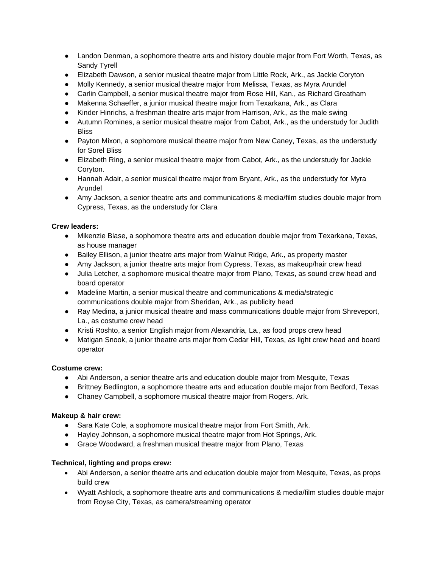- Landon Denman, a sophomore theatre arts and history double major from Fort Worth, Texas, as Sandy Tyrell
- Elizabeth Dawson, a senior musical theatre major from Little Rock, Ark., as Jackie Coryton
- Molly Kennedy, a senior musical theatre major from Melissa, Texas, as Myra Arundel
- Carlin Campbell, a senior musical theatre major from Rose Hill, Kan., as Richard Greatham
- Makenna Schaeffer, a junior musical theatre major from Texarkana, Ark., as Clara
- Kinder Hinrichs, a freshman theatre arts major from Harrison, Ark., as the male swing
- Autumn Romines, a senior musical theatre major from Cabot, Ark., as the understudy for Judith Bliss
- Payton Mixon, a sophomore musical theatre major from New Caney, Texas, as the understudy for Sorel Bliss
- Elizabeth Ring, a senior musical theatre major from Cabot, Ark., as the understudy for Jackie Coryton.
- Hannah Adair, a senior musical theatre major from Bryant, Ark., as the understudy for Myra Arundel
- Amy Jackson, a senior theatre arts and communications & media/film studies double major from Cypress, Texas, as the understudy for Clara

# **Crew leaders:**

- Mikenzie Blase, a sophomore theatre arts and education double major from Texarkana, Texas, as house manager
- Bailey Ellison, a junior theatre arts major from Walnut Ridge, Ark., as property master
- Amy Jackson, a junior theatre arts major from Cypress, Texas, as makeup/hair crew head
- Julia Letcher, a sophomore musical theatre major from Plano, Texas, as sound crew head and board operator
- Madeline Martin, a senior musical theatre and communications & media/strategic communications double major from Sheridan, Ark., as publicity head
- Ray Medina, a junior musical theatre and mass communications double major from Shreveport, La., as costume crew head
- Kristi Roshto, a senior English major from Alexandria, La., as food props crew head
- Matigan Snook, a junior theatre arts major from Cedar Hill, Texas, as light crew head and board operator

#### **Costume crew:**

- Abi Anderson, a senior theatre arts and education double major from Mesquite, Texas
- Brittney Bedlington, a sophomore theatre arts and education double major from Bedford, Texas
- Chaney Campbell, a sophomore musical theatre major from Rogers, Ark.

#### **Makeup & hair crew:**

- Sara Kate Cole, a sophomore musical theatre major from Fort Smith, Ark.
- Hayley Johnson, a sophomore musical theatre major from Hot Springs, Ark.
- Grace Woodward, a freshman musical theatre major from Plano, Texas

# **Technical, lighting and props crew:**

- Abi Anderson, a senior theatre arts and education double major from Mesquite, Texas, as props build crew
- Wyatt Ashlock, a sophomore theatre arts and communications & media/film studies double major from Royse City, Texas, as camera/streaming operator